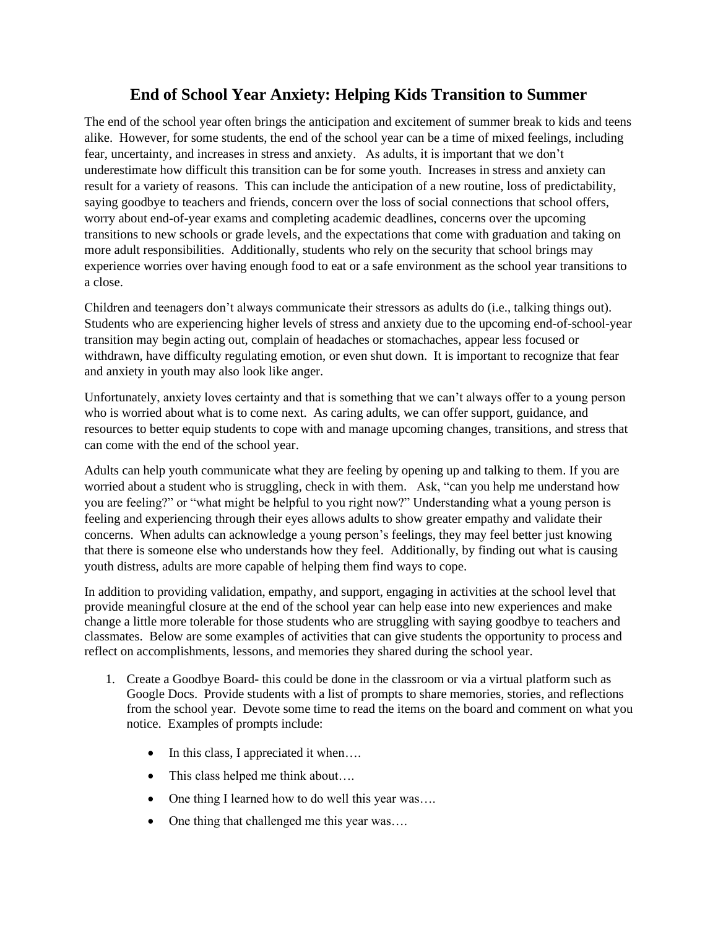## **End of School Year Anxiety: Helping Kids Transition to Summer**

The end of the school year often brings the anticipation and excitement of summer break to kids and teens alike. However, for some students, the end of the school year can be a time of mixed feelings, including fear, uncertainty, and increases in stress and anxiety. As adults, it is important that we don't underestimate how difficult this transition can be for some youth. Increases in stress and anxiety can result for a variety of reasons. This can include the anticipation of a new routine, loss of predictability, saying goodbye to teachers and friends, concern over the loss of social connections that school offers, worry about end-of-year exams and completing academic deadlines, concerns over the upcoming transitions to new schools or grade levels, and the expectations that come with graduation and taking on more adult responsibilities. Additionally, students who rely on the security that school brings may experience worries over having enough food to eat or a safe environment as the school year transitions to a close.

Children and teenagers don't always communicate their stressors as adults do (i.e., talking things out). Students who are experiencing higher levels of stress and anxiety due to the upcoming end-of-school-year transition may begin acting out, complain of headaches or stomachaches, appear less focused or withdrawn, have difficulty regulating emotion, or even shut down. It is important to recognize that fear and anxiety in youth may also look like anger.

Unfortunately, anxiety loves certainty and that is something that we can't always offer to a young person who is worried about what is to come next. As caring adults, we can offer support, guidance, and resources to better equip students to cope with and manage upcoming changes, transitions, and stress that can come with the end of the school year.

Adults can help youth communicate what they are feeling by opening up and talking to them. If you are worried about a student who is struggling, check in with them. Ask, "can you help me understand how you are feeling?" or "what might be helpful to you right now?" Understanding what a young person is feeling and experiencing through their eyes allows adults to show greater empathy and validate their concerns. When adults can acknowledge a young person's feelings, they may feel better just knowing that there is someone else who understands how they feel. Additionally, by finding out what is causing youth distress, adults are more capable of helping them find ways to cope.

In addition to providing validation, empathy, and support, engaging in activities at the school level that provide meaningful closure at the end of the school year can help ease into new experiences and make change a little more tolerable for those students who are struggling with saying goodbye to teachers and classmates. Below are some examples of activities that can give students the opportunity to process and reflect on accomplishments, lessons, and memories they shared during the school year.

- 1. Create a Goodbye Board- this could be done in the classroom or via a virtual platform such as Google Docs. Provide students with a list of prompts to share memories, stories, and reflections from the school year. Devote some time to read the items on the board and comment on what you notice. Examples of prompts include:
	- In this class, I appreciated it when....
	- This class helped me think about....
	- One thing I learned how to do well this year was....
	- One thing that challenged me this year was....